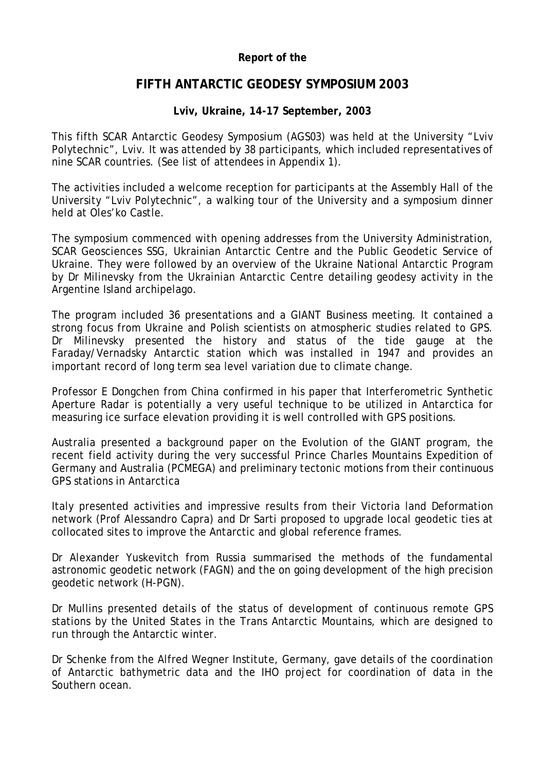## **Report of the**

## **FIFTH ANTARCTIC GEODESY SYMPOSIUM 2003**

## **Lviv, Ukraine, 14-17 September, 2003**

This fifth SCAR Antarctic Geodesy Symposium (AGS03) was held at the University "Lviv Polytechnic", Lviv. It was attended by 38 participants, which included representatives of nine SCAR countries. (See list of attendees in Appendix 1).

The activities included a welcome reception for participants at the Assembly Hall of the University "Lviv Polytechnic", a walking tour of the University and a symposium dinner held at Oles'ko Castle.

The symposium commenced with opening addresses from the University Administration, SCAR Geosciences SSG, Ukrainian Antarctic Centre and the Public Geodetic Service of Ukraine. They were followed by an overview of the Ukraine National Antarctic Program by Dr Milinevsky from the Ukrainian Antarctic Centre detailing geodesy activity in the Argentine Island archipelago.

The program included 36 presentations and a GIANT Business meeting. It contained a strong focus from Ukraine and Polish scientists on atmospheric studies related to GPS. Dr Milinevsky presented the history and status of the tide gauge at the Faraday/Vernadsky Antarctic station which was installed in 1947 and provides an important record of long term sea level variation due to climate change.

Professor E Dongchen from China confirmed in his paper that Interferometric Synthetic Aperture Radar is potentially a very useful technique to be utilized in Antarctica for measuring ice surface elevation providing it is well controlled with GPS positions.

Australia presented a background paper on the Evolution of the GIANT program, the recent field activity during the very successful Prince Charles Mountains Expedition of Germany and Australia (PCMEGA) and preliminary tectonic motions from their continuous GPS stations in Antarctica

Italy presented activities and impressive results from their Victoria land Deformation network (Prof Alessandro Capra) and Dr Sarti proposed to upgrade local geodetic ties at collocated sites to improve the Antarctic and global reference frames.

Dr Alexander Yuskevitch from Russia summarised the methods of the fundamental astronomic geodetic network (FAGN) and the on going development of the high precision geodetic network (H-PGN).

Dr Mullins presented details of the status of development of continuous remote GPS stations by the United States in the Trans Antarctic Mountains, which are designed to run through the Antarctic winter.

Dr Schenke from the Alfred Wegner Institute, Germany, gave details of the coordination of Antarctic bathymetric data and the IHO project for coordination of data in the Southern ocean.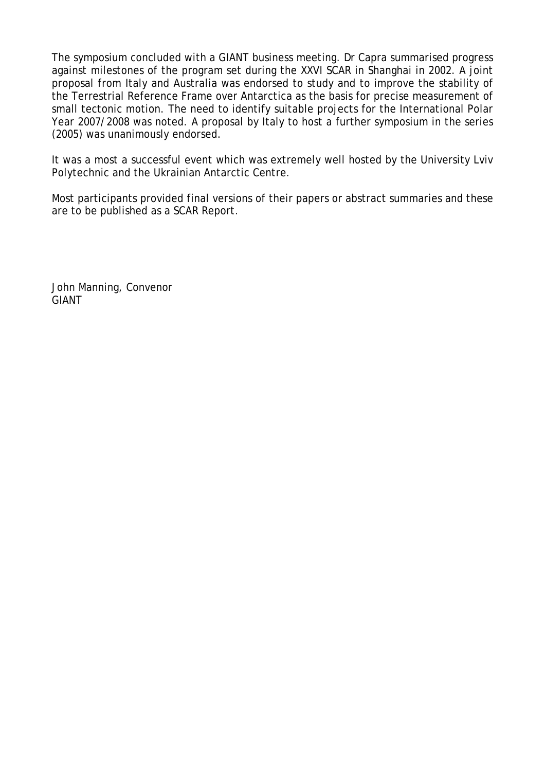The symposium concluded with a GIANT business meeting. Dr Capra summarised progress against milestones of the program set during the XXVI SCAR in Shanghai in 2002. A joint proposal from Italy and Australia was endorsed to study and to improve the stability of the Terrestrial Reference Frame over Antarctica as the basis for precise measurement of small tectonic motion. The need to identify suitable projects for the International Polar Year 2007/2008 was noted. A proposal by Italy to host a further symposium in the series (2005) was unanimously endorsed.

It was a most a successful event which was extremely well hosted by the University Lviv Polytechnic and the Ukrainian Antarctic Centre.

Most participants provided final versions of their papers or abstract summaries and these are to be published as a SCAR Report.

John Manning, Convenor GIANT